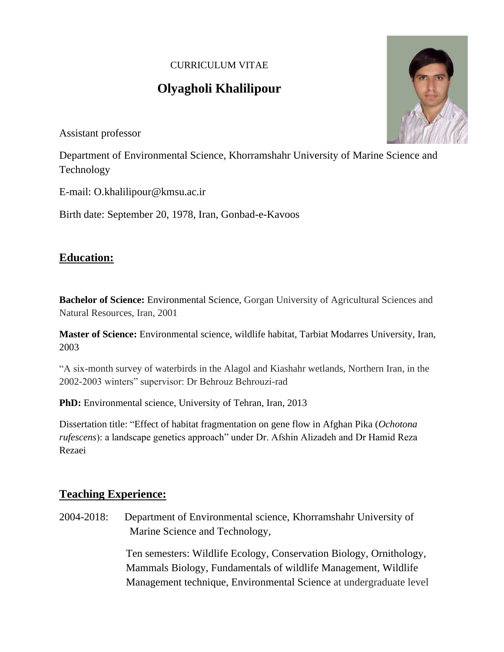#### CURRICULUM VITAE

# **Olyagholi Khalilipour**

Assistant professor

Department of Environmental Science, Khorramshahr University of Marine Science and Technology

E-mail: O.khalilipour@kmsu.ac.ir

Birth date: September 20, 1978, Iran, Gonbad-e-Kavoos

### **Education:**

**Bachelor of Science:** Environmental Science, Gorgan University of Agricultural Sciences and Natural Resources, Iran, 2001

**Master of Science:** Environmental science, wildlife habitat, Tarbiat Modarres University, Iran, 2003

"A six-month survey of waterbirds in the Alagol and Kiashahr wetlands, Northern Iran, in the 2002-2003 winters" supervisor: Dr Behrouz Behrouzi-rad

PhD: Environmental science, University of Tehran, Iran, 2013

Dissertation title: "Effect of habitat fragmentation on gene flow in Afghan Pika (*Ochotona rufescens*): a landscape genetics approach" under Dr. Afshin Alizadeh and Dr Hamid Reza Rezaei

#### **Teaching Experience:**

2004-2018: Department of Environmental science, Khorramshahr University of Marine Science and Technology,

> Ten semesters: Wildlife Ecology, Conservation Biology, Ornithology, Mammals Biology, Fundamentals of wildlife Management, Wildlife Management technique, Environmental Science at undergraduate level

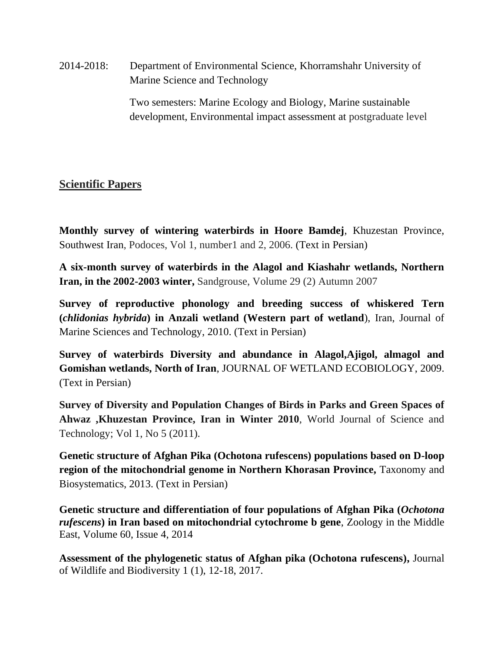2014-2018: Department of Environmental Science, Khorramshahr University of Marine Science and Technology

> Two semesters: Marine Ecology and Biology, Marine sustainable development, Environmental impact assessment at postgraduate level

#### **Scientific Papers**

**Monthly survey of wintering waterbirds in Hoore Bamdej**, Khuzestan Province, Southwest Iran, Podoces, Vol 1, number1 and 2, 2006. (Text in Persian)

**A six-month survey of waterbirds in the Alagol and Kiashahr wetlands, Northern Iran, in the 2002-2003 winter,** Sandgrouse, Volume 29 (2) Autumn 2007

**Survey of reproductive phonology and breeding success of whiskered Tern (***chlidonias hybrida***) in Anzali wetland (Western part of wetland**), Iran, Journal of Marine Sciences and Technology, 2010. (Text in Persian)

**Survey of waterbirds Diversity and abundance in Alagol,Ajigol, almagol and Gomishan wetlands, North of Iran**, JOURNAL OF WETLAND ECOBIOLOGY, 2009. (Text in Persian)

**Survey of Diversity and Population Changes of Birds in Parks and Green Spaces of Ahwaz ,Khuzestan Province, Iran in Winter 2010**, World Journal of Science and Technology; Vol 1, No 5 (2011).

**Genetic structure of Afghan Pika (Ochotona rufescens) populations based on D-loop region of the mitochondrial genome in Northern Khorasan Province,** Taxonomy and Biosystematics, 2013. (Text in Persian)

**Genetic structure and differentiation of four populations of Afghan Pika (***Ochotona rufescens***) in Iran based on mitochondrial cytochrome b gene**, Zoology in the Middle East, [Volume 60,](http://www.tandfonline.com/loi/tzme20?open=60#vol_60) [Issue 4,](http://www.tandfonline.com/toc/tzme20/60/4) 2014

**[Assessment of the phylogenetic status of Afghan pika \(Ochotona rufescens\),](javascript:void(0))** Journal of Wildlife and Biodiversity 1 (1), 12-18, 2017.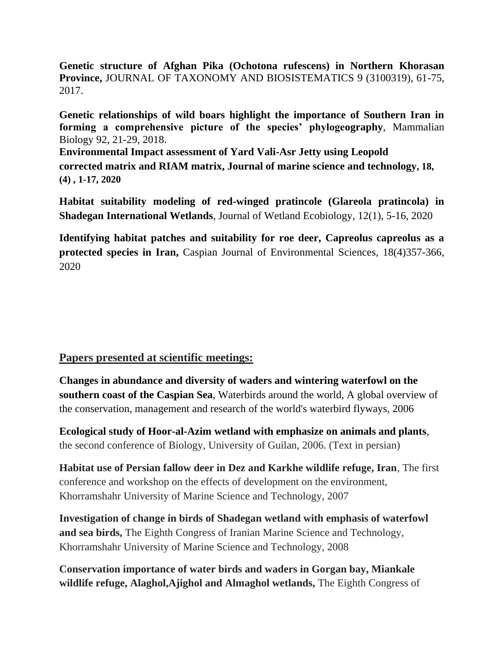**[Genetic structure of Afghan Pika \(Ochotona rufescens\) in Northern Khorasan](javascript:void(0))  [Province,](javascript:void(0))** JOURNAL OF TAXONOMY AND BIOSISTEMATICS 9 (3100319), 61-75, 2017.

**[Genetic relationships of wild boars highlight the importance of Southern Iran in](javascript:void(0))  [forming a comprehensive picture of the species' phylogeography](javascript:void(0))**, Mammalian Biology 92, 21-29, 2018. **Environmental Impact assessment of Yard Vali-Asr Jetty using Leopold**

**corrected matrix and RIAM matrix, Journal of marine science and technology, [18,](http://jmst.sinaweb.net/issue_11606_13913.html?lang=en)  [\(4\)](http://jmst.sinaweb.net/issue_11606_13913.html?lang=en) , 1-17, 2020**

**[Habitat suitability modeling of red-winged pratincole \(Glareola pratincola\) in](http://jweb.iauahvaz.ac.ir/browse.php?a_code=A-10-531-4&sid=1&slc_lang=en)  [Shadegan International Wetlands](http://jweb.iauahvaz.ac.ir/browse.php?a_code=A-10-531-4&sid=1&slc_lang=en)**, Journal of Wetland Ecobiology, 12(1), 5-16, 2020

**[Identifying habitat patches and suitability for roe deer, Capreolus capreolus as a](https://cjes.guilan.ac.ir/m/article_4281.html)  [protected species in Iran,](https://cjes.guilan.ac.ir/m/article_4281.html)** Caspian Journal of Environmental Sciences, 18(4)357-366, 2020

#### **Papers presented at scientific meetings:**

**Changes in abundance and diversity of waders and wintering waterfowl on the southern coast of the Caspian Sea**, Waterbirds around the world, A global overview of the conservation, management and research of the world's waterbird flyways, 2006

**Ecological study of Hoor-al-Azim wetland with emphasize on animals and plants**, the second conference of Biology, University of Guilan, 2006. (Text in persian)

**Habitat use of Persian fallow deer in Dez and Karkhe wildlife refuge, Iran**, The first conference and workshop on the effects of development on the environment, Khorramshahr University of Marine Science and Technology, 2007

**Investigation of change in birds of Shadegan wetland with emphasis of waterfowl and sea birds,** The Eighth Congress of Iranian Marine Science and Technology, Khorramshahr University of Marine Science and Technology, 2008

**Conservation importance of water birds and waders in Gorgan bay, Miankale wildlife refuge, Alaghol,Ajighol and Almaghol wetlands,** The Eighth Congress of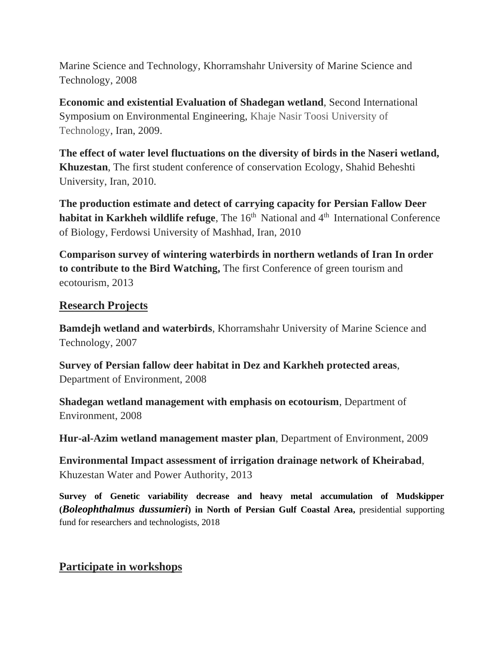Marine Science and Technology, Khorramshahr University of Marine Science and Technology, 2008

**Economic and existential Evaluation of Shadegan wetland**, Second International Symposium on Environmental Engineering, Khaje Nasir Toosi University of Technology, Iran, 2009.

**The effect of water level fluctuations on the diversity of birds in the Naseri wetland, Khuzestan**, The first student conference of conservation Ecology, Shahid Beheshti University, Iran, 2010.

**The production estimate and detect of carrying capacity for Persian Fallow Deer habitat in Karkheh wildlife refuge**, The 16<sup>th</sup> National and 4<sup>th</sup> International Conference of Biology, Ferdowsi University of Mashhad, Iran, 2010

**Comparison survey of wintering waterbirds in northern wetlands of Iran In order to contribute to the Bird Watching,** The first Conference of green tourism and ecotourism, 2013

#### **Research Projects**

**Bamdejh wetland and waterbirds**, Khorramshahr University of Marine Science and Technology, 2007

**Survey of Persian fallow deer habitat in Dez and Karkheh protected areas**, Department of Environment, 2008

**Shadegan wetland management with emphasis on ecotourism**, Department of Environment, 2008

**Hur-al-Azim wetland management master plan**, Department of Environment, 2009

**Environmental Impact assessment of irrigation drainage network of Kheirabad**, Khuzestan Water and Power Authority, 2013

**Survey of Genetic variability decrease and heavy metal accumulation of Mudskipper (***Boleophthalmus dussumieri***) in North of Persian Gulf Coastal Area,** presidential supporting fund for researchers and technologists, 2018

## **Participate in workshops**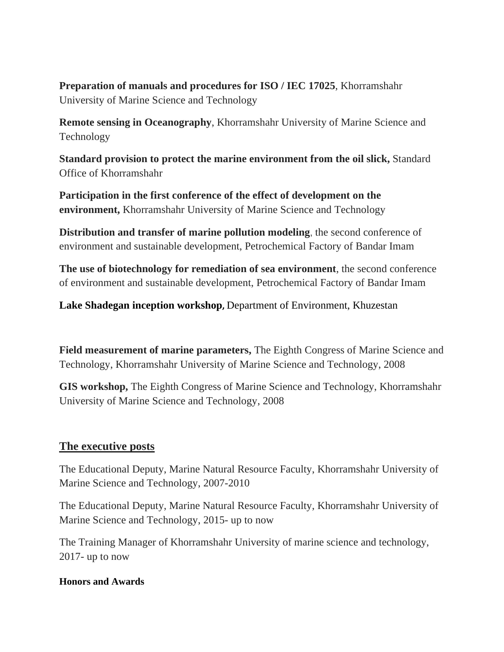**Preparation of manuals and procedures for ISO / IEC 17025**, Khorramshahr University of Marine Science and Technology

**Remote sensing in Oceanography**, Khorramshahr University of Marine Science and Technology

**Standard provision to protect the marine environment from the oil slick,** Standard Office of Khorramshahr

**Participation in the first conference of the effect of development on the environment,** Khorramshahr University of Marine Science and Technology

**Distribution and transfer of marine pollution modeling**, the second conference of environment and sustainable development, Petrochemical Factory of Bandar Imam

**The use of biotechnology for remediation of sea environment**, the second conference of environment and sustainable development, Petrochemical Factory of Bandar Imam

**Lake Shadegan inception workshop,** Department of Environment, Khuzestan

**Field measurement of marine parameters,** The Eighth Congress of Marine Science and Technology, Khorramshahr University of Marine Science and Technology, 2008

**GIS workshop,** The Eighth Congress of Marine Science and Technology, Khorramshahr University of Marine Science and Technology, 2008

#### **The executive posts**

The Educational Deputy, Marine Natural Resource Faculty, Khorramshahr University of Marine Science and Technology, 2007-2010

The Educational Deputy, Marine Natural Resource Faculty, Khorramshahr University of Marine Science and Technology, 2015- up to now

The Training Manager of Khorramshahr University of marine science and technology, 2017- up to now

#### **Honors and Awards**